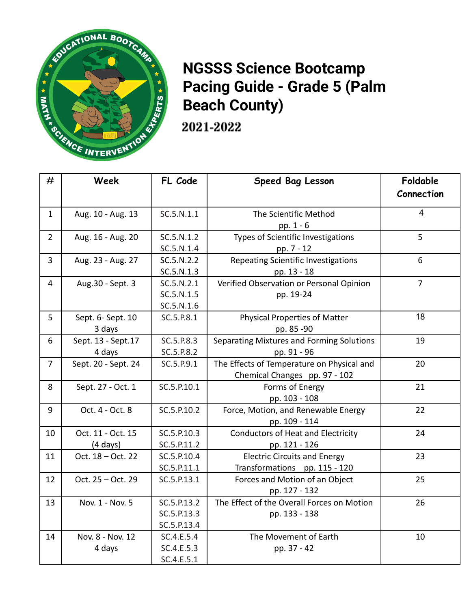

## **NGSSS Science Bootcamp Pacing Guide - Grade 5 (Palm Beach County)**

2021-2022

| #              | Week                                    | FL Code                                   | Speed Bag Lesson                                                            | Foldable<br>Connection |
|----------------|-----------------------------------------|-------------------------------------------|-----------------------------------------------------------------------------|------------------------|
| $\mathbf{1}$   | Aug. 10 - Aug. 13                       | SC.5.N.1.1                                | The Scientific Method<br>pp. $1 - 6$                                        | $\overline{4}$         |
| $\overline{2}$ | Aug. 16 - Aug. 20                       | SC.5.N.1.2<br>SC.5.N.1.4                  | Types of Scientific Investigations<br>pp. 7 - 12                            | 5                      |
| $\overline{3}$ | Aug. 23 - Aug. 27                       | SC.5.N.2.2<br>SC.5.N.1.3                  | Repeating Scientific Investigations<br>pp. 13 - 18                          | 6                      |
| $\overline{4}$ | Aug.30 - Sept. 3                        | SC.5.N.2.1<br>SC.5.N.1.5<br>SC.5.N.1.6    | Verified Observation or Personal Opinion<br>pp. 19-24                       | $\overline{7}$         |
| 5              | Sept. 6- Sept. 10<br>3 days             | SC.5.P.8.1                                | <b>Physical Properties of Matter</b><br>pp. 85 -90                          | 18                     |
| 6              | Sept. 13 - Sept. 17<br>4 days           | SC.5.P.8.3<br>SC.5.P.8.2                  | Separating Mixtures and Forming Solutions<br>pp. 91 - 96                    | 19                     |
| $\overline{7}$ | Sept. 20 - Sept. 24                     | SC.5.P.9.1                                | The Effects of Temperature on Physical and<br>Chemical Changes pp. 97 - 102 | 20                     |
| 8              | Sept. 27 - Oct. 1                       | SC.5.P.10.1                               | Forms of Energy<br>pp. 103 - 108                                            | 21                     |
| 9              | Oct. 4 - Oct. 8                         | SC.5.P.10.2                               | Force, Motion, and Renewable Energy<br>pp. 109 - 114                        | 22                     |
| 10             | Oct. 11 - Oct. 15<br>$(4 \text{ days})$ | SC.5.P.10.3<br>SC.5.P.11.2                | <b>Conductors of Heat and Electricity</b><br>pp. 121 - 126                  | 24                     |
| 11             | Oct. 18 - Oct. 22                       | SC.5.P.10.4<br>SC.5.P.11.1                | <b>Electric Circuits and Energy</b><br>Transformations pp. 115 - 120        | 23                     |
| 12             | Oct. 25 - Oct. 29                       | SC.5.P.13.1                               | Forces and Motion of an Object<br>pp. 127 - 132                             | 25                     |
| 13             | Nov. 1 - Nov. 5                         | SC.5.P.13.2<br>SC.5.P.13.3<br>SC.5.P.13.4 | The Effect of the Overall Forces on Motion<br>pp. 133 - 138                 | 26                     |
| 14             | Nov. 8 - Nov. 12<br>4 days              | SC.4.E.5.4<br>SC.4.E.5.3<br>SC.4.E.5.1    | The Movement of Earth<br>pp. 37 - 42                                        | 10                     |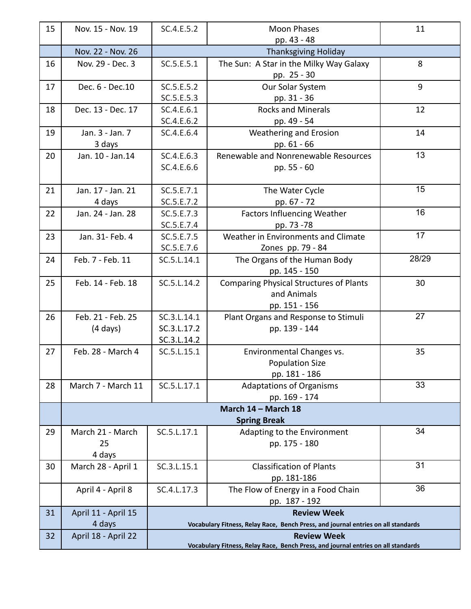| 15 | Nov. 15 - Nov. 19   | SC.4.E.5.2                                                                        | <b>Moon Phases</b>                                                                | 11    |
|----|---------------------|-----------------------------------------------------------------------------------|-----------------------------------------------------------------------------------|-------|
|    |                     |                                                                                   | pp. 43 - 48                                                                       |       |
|    | Nov. 22 - Nov. 26   |                                                                                   | <b>Thanksgiving Holiday</b>                                                       |       |
| 16 | Nov. 29 - Dec. 3    | SC.5.E.5.1                                                                        | The Sun: A Star in the Milky Way Galaxy                                           | 8     |
|    |                     |                                                                                   | pp. 25 - 30                                                                       |       |
| 17 | Dec. 6 - Dec. 10    | SC.5.E.5.2                                                                        | Our Solar System                                                                  | 9     |
|    |                     | SC.5.E.5.3                                                                        | pp. 31 - 36                                                                       |       |
| 18 | Dec. 13 - Dec. 17   | SC.4.E.6.1                                                                        | <b>Rocks and Minerals</b>                                                         | 12    |
|    |                     | SC.4.E.6.2                                                                        | pp. 49 - 54                                                                       |       |
| 19 | Jan. 3 - Jan. 7     | SC.4.E.6.4                                                                        | Weathering and Erosion                                                            | 14    |
|    | 3 days              |                                                                                   | pp. 61 - 66                                                                       |       |
| 20 | Jan. 10 - Jan.14    | SC.4.E.6.3                                                                        | Renewable and Nonrenewable Resources                                              | 13    |
|    |                     | SC.4.E.6.6                                                                        | pp. 55 - 60                                                                       |       |
| 21 | Jan. 17 - Jan. 21   | SC.5.E.7.1                                                                        | The Water Cycle                                                                   | 15    |
|    | 4 days              | SC.5.E.7.2                                                                        | pp. 67 - 72                                                                       |       |
| 22 | Jan. 24 - Jan. 28   | SC.5.E.7.3                                                                        | <b>Factors Influencing Weather</b>                                                | 16    |
|    |                     | SC.5.E.7.4                                                                        | pp. 73 -78                                                                        |       |
| 23 | Jan. 31- Feb. 4     | SC.5.E.7.5                                                                        | Weather in Environments and Climate                                               | 17    |
|    |                     | SC.5.E.7.6                                                                        | Zones pp. 79 - 84                                                                 |       |
| 24 | Feb. 7 - Feb. 11    | SC.5.L.14.1                                                                       | The Organs of the Human Body                                                      | 28/29 |
|    |                     |                                                                                   | pp. 145 - 150                                                                     |       |
| 25 | Feb. 14 - Feb. 18   | SC.5.L.14.2                                                                       | <b>Comparing Physical Structures of Plants</b>                                    | 30    |
|    |                     |                                                                                   | and Animals                                                                       |       |
|    |                     |                                                                                   | pp. 151 - 156                                                                     |       |
| 26 | Feb. 21 - Feb. 25   | SC.3.L.14.1                                                                       | Plant Organs and Response to Stimuli                                              | 27    |
|    | (4 days)            | SC.3.L.17.2                                                                       | pp. 139 - 144                                                                     |       |
|    |                     | SC.3.L.14.2                                                                       |                                                                                   |       |
| 27 | Feb. 28 - March 4   | SC.5.L.15.1                                                                       | Environmental Changes vs.                                                         | 35    |
|    |                     |                                                                                   | <b>Population Size</b>                                                            |       |
|    |                     |                                                                                   | pp. 181 - 186                                                                     | 33    |
| 28 | March 7 - March 11  | SC.5.L.17.1                                                                       | <b>Adaptations of Organisms</b>                                                   |       |
|    |                     |                                                                                   | pp. 169 - 174                                                                     |       |
|    |                     |                                                                                   | March 14 - March 18<br><b>Spring Break</b>                                        |       |
| 29 | March 21 - March    | SC.5.L.17.1                                                                       | Adapting to the Environment                                                       | 34    |
|    | 25                  |                                                                                   | pp. 175 - 180                                                                     |       |
|    | 4 days              |                                                                                   |                                                                                   |       |
| 30 | March 28 - April 1  | SC.3.L.15.1                                                                       | <b>Classification of Plants</b>                                                   | 31    |
|    |                     |                                                                                   | pp. 181-186                                                                       |       |
|    | April 4 - April 8   | SC.4.L.17.3                                                                       | The Flow of Energy in a Food Chain                                                | 36    |
|    |                     |                                                                                   | pp. 187 - 192                                                                     |       |
| 31 | April 11 - April 15 |                                                                                   | <b>Review Week</b>                                                                |       |
|    | 4 days              | Vocabulary Fitness, Relay Race, Bench Press, and journal entries on all standards |                                                                                   |       |
| 32 | April 18 - April 22 | <b>Review Week</b>                                                                |                                                                                   |       |
|    |                     |                                                                                   | Vocabulary Fitness, Relay Race, Bench Press, and journal entries on all standards |       |